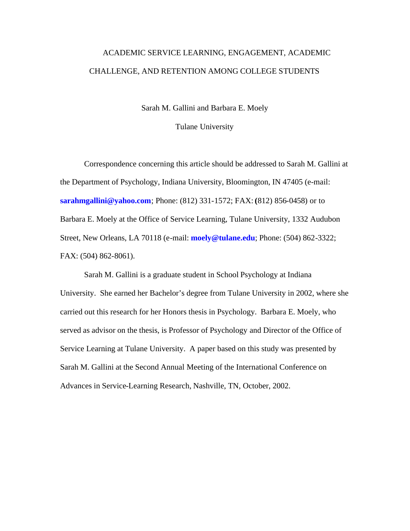# ACADEMIC SERVICE LEARNING, ENGAGEMENT, ACADEMIC CHALLENGE, AND RETENTION AMONG COLLEGE STUDENTS

Sarah M. Gallini and Barbara E. Moely

Tulane University

Correspondence concerning this article should be addressed to Sarah M. Gallini at the Department of Psychology, Indiana University, Bloomington, IN 47405 (e-mail: **sarahmgallini@yahoo.com**; Phone: (812) 331-1572; FAX: **(**812) 856-0458) or to Barbara E. Moely at the Office of Service Learning, Tulane University, 1332 Audubon Street, New Orleans, LA 70118 (e-mail: **moely@tulane.edu**; Phone: (504) 862-3322; FAX: (504) 862-8061).

Sarah M. Gallini is a graduate student in School Psychology at Indiana University. She earned her Bachelor's degree from Tulane University in 2002, where she carried out this research for her Honors thesis in Psychology. Barbara E. Moely, who served as advisor on the thesis, is Professor of Psychology and Director of the Office of Service Learning at Tulane University. A paper based on this study was presented by Sarah M. Gallini at the Second Annual Meeting of the International Conference on Advances in Service-Learning Research, Nashville, TN, October, 2002.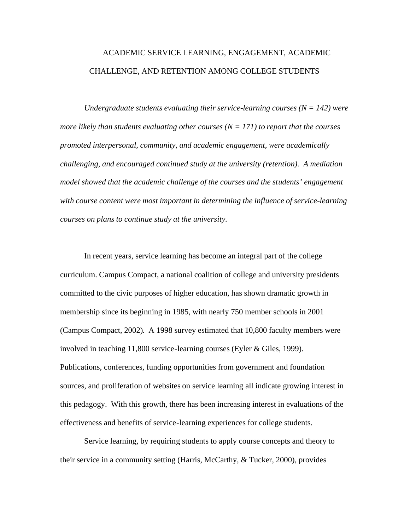# ACADEMIC SERVICE LEARNING, ENGAGEMENT, ACADEMIC CHALLENGE, AND RETENTION AMONG COLLEGE STUDENTS

*Undergraduate students evaluating their service-learning courses (* $N = 142$ *) were more likely than students evaluating other courses*  $(N = 171)$  *to report that the courses promoted interpersonal, community, and academic engagement, were academically challenging, and encouraged continued study at the university (retention). A mediation model showed that the academic challenge of the courses and the students' engagement with course content were most important in determining the influence of service-learning courses on plans to continue study at the university.* 

In recent years, service learning has become an integral part of the college curriculum. Campus Compact, a national coalition of college and university presidents committed to the civic purposes of higher education, has shown dramatic growth in membership since its beginning in 1985, with nearly 750 member schools in 2001 (Campus Compact, 2002). A 1998 survey estimated that 10,800 faculty members were involved in teaching 11,800 service-learning courses (Eyler & Giles, 1999). Publications, conferences, funding opportunities from government and foundation sources, and proliferation of websites on service learning all indicate growing interest in this pedagogy. With this growth, there has been increasing interest in evaluations of the effectiveness and benefits of service-learning experiences for college students.

Service learning, by requiring students to apply course concepts and theory to their service in a community setting (Harris, McCarthy, & Tucker, 2000), provides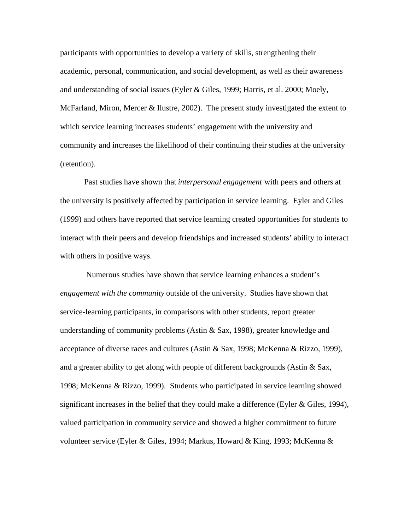participants with opportunities to develop a variety of skills, strengthening their academic, personal, communication, and social development, as well as their awareness and understanding of social issues (Eyler & Giles, 1999; Harris, et al. 2000; Moely, McFarland, Miron, Mercer & Ilustre, 2002). The present study investigated the extent to which service learning increases students' engagement with the university and community and increases the likelihood of their continuing their studies at the university (retention).

Past studies have shown that *interpersonal engagement* with peers and others at the university is positively affected by participation in service learning. Eyler and Giles (1999) and others have reported that service learning created opportunities for students to interact with their peers and develop friendships and increased students' ability to interact with others in positive ways.

 Numerous studies have shown that service learning enhances a student's *engagement with the community* outside of the university. Studies have shown that service-learning participants, in comparisons with other students, report greater understanding of community problems (Astin  $\&$  Sax, 1998), greater knowledge and acceptance of diverse races and cultures (Astin & Sax, 1998; McKenna & Rizzo, 1999), and a greater ability to get along with people of different backgrounds (Astin  $\&$  Sax, 1998; McKenna & Rizzo, 1999). Students who participated in service learning showed significant increases in the belief that they could make a difference (Eyler  $&$  Giles, 1994), valued participation in community service and showed a higher commitment to future volunteer service (Eyler & Giles, 1994; Markus, Howard & King, 1993; McKenna &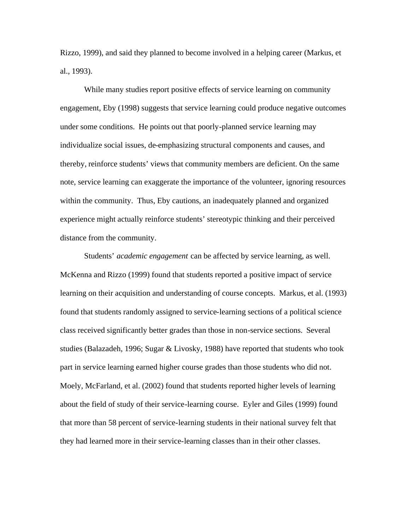Rizzo, 1999), and said they planned to become involved in a helping career (Markus, et al., 1993).

While many studies report positive effects of service learning on community engagement, Eby (1998) suggests that service learning could produce negative outcomes under some conditions. He points out that poorly-planned service learning may individualize social issues, de-emphasizing structural components and causes, and thereby, reinforce students' views that community members are deficient. On the same note, service learning can exaggerate the importance of the volunteer, ignoring resources within the community. Thus, Eby cautions, an inadequately planned and organized experience might actually reinforce students' stereotypic thinking and their perceived distance from the community.

Students' *academic engagement* can be affected by service learning, as well. McKenna and Rizzo (1999) found that students reported a positive impact of service learning on their acquisition and understanding of course concepts. Markus, et al. (1993) found that students randomly assigned to service-learning sections of a political science class received significantly better grades than those in non-service sections. Several studies (Balazadeh, 1996; Sugar & Livosky, 1988) have reported that students who took part in service learning earned higher course grades than those students who did not. Moely, McFarland, et al. (2002) found that students reported higher levels of learning about the field of study of their service-learning course. Eyler and Giles (1999) found that more than 58 percent of service-learning students in their national survey felt that they had learned more in their service-learning classes than in their other classes.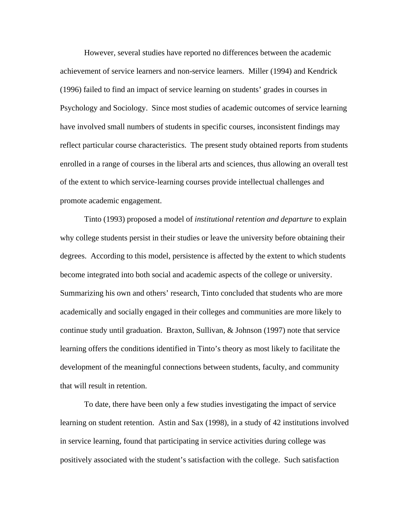However, several studies have reported no differences between the academic achievement of service learners and non-service learners. Miller (1994) and Kendrick (1996) failed to find an impact of service learning on students' grades in courses in Psychology and Sociology. Since most studies of academic outcomes of service learning have involved small numbers of students in specific courses, inconsistent findings may reflect particular course characteristics. The present study obtained reports from students enrolled in a range of courses in the liberal arts and sciences, thus allowing an overall test of the extent to which service-learning courses provide intellectual challenges and promote academic engagement.

Tinto (1993) proposed a model of *institutional retention and departure* to explain why college students persist in their studies or leave the university before obtaining their degrees. According to this model, persistence is affected by the extent to which students become integrated into both social and academic aspects of the college or university. Summarizing his own and others' research, Tinto concluded that students who are more academically and socially engaged in their colleges and communities are more likely to continue study until graduation. Braxton, Sullivan, & Johnson (1997) note that service learning offers the conditions identified in Tinto's theory as most likely to facilitate the development of the meaningful connections between students, faculty, and community that will result in retention.

To date, there have been only a few studies investigating the impact of service learning on student retention. Astin and Sax (1998), in a study of 42 institutions involved in service learning, found that participating in service activities during college was positively associated with the student's satisfaction with the college. Such satisfaction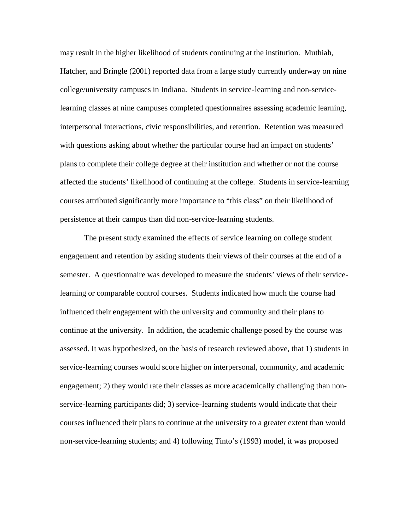may result in the higher likelihood of students continuing at the institution. Muthiah, Hatcher, and Bringle (2001) reported data from a large study currently underway on nine college/university campuses in Indiana. Students in service-learning and non-servicelearning classes at nine campuses completed questionnaires assessing academic learning, interpersonal interactions, civic responsibilities, and retention. Retention was measured with questions asking about whether the particular course had an impact on students' plans to complete their college degree at their institution and whether or not the course affected the students' likelihood of continuing at the college. Students in service-learning courses attributed significantly more importance to "this class" on their likelihood of persistence at their campus than did non-service-learning students.

The present study examined the effects of service learning on college student engagement and retention by asking students their views of their courses at the end of a semester. A questionnaire was developed to measure the students' views of their servicelearning or comparable control courses. Students indicated how much the course had influenced their engagement with the university and community and their plans to continue at the university. In addition, the academic challenge posed by the course was assessed. It was hypothesized, on the basis of research reviewed above, that 1) students in service-learning courses would score higher on interpersonal, community, and academic engagement; 2) they would rate their classes as more academically challenging than nonservice-learning participants did; 3) service-learning students would indicate that their courses influenced their plans to continue at the university to a greater extent than would non-service-learning students; and 4) following Tinto's (1993) model, it was proposed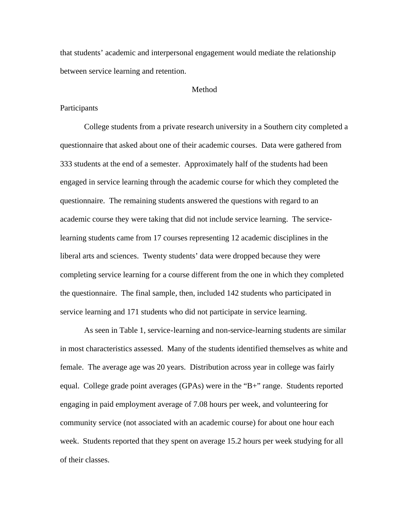that students' academic and interpersonal engagement would mediate the relationship between service learning and retention.

#### Method

#### **Participants**

College students from a private research university in a Southern city completed a questionnaire that asked about one of their academic courses. Data were gathered from 333 students at the end of a semester. Approximately half of the students had been engaged in service learning through the academic course for which they completed the questionnaire. The remaining students answered the questions with regard to an academic course they were taking that did not include service learning. The servicelearning students came from 17 courses representing 12 academic disciplines in the liberal arts and sciences. Twenty students' data were dropped because they were completing service learning for a course different from the one in which they completed the questionnaire. The final sample, then, included 142 students who participated in service learning and 171 students who did not participate in service learning.

As seen in Table 1, service-learning and non-service-learning students are similar in most characteristics assessed. Many of the students identified themselves as white and female. The average age was 20 years. Distribution across year in college was fairly equal. College grade point averages (GPAs) were in the "B+" range. Students reported engaging in paid employment average of 7.08 hours per week, and volunteering for community service (not associated with an academic course) for about one hour each week. Students reported that they spent on average 15.2 hours per week studying for all of their classes.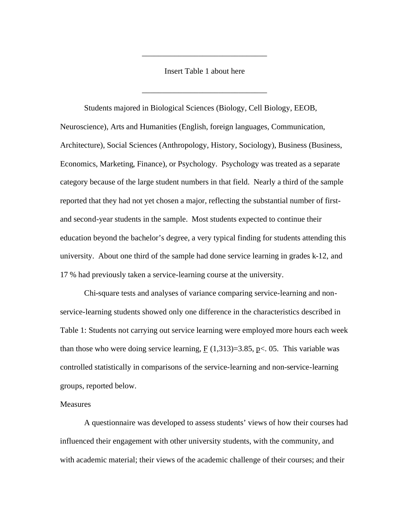Insert Table 1 about here

\_\_\_\_\_\_\_\_\_\_\_\_\_\_\_\_\_\_\_\_\_\_\_\_\_\_\_\_\_\_\_

\_\_\_\_\_\_\_\_\_\_\_\_\_\_\_\_\_\_\_\_\_\_\_\_\_\_\_\_\_\_\_

Students majored in Biological Sciences (Biology, Cell Biology, EEOB, Neuroscience), Arts and Humanities (English, foreign languages, Communication, Architecture), Social Sciences (Anthropology, History, Sociology), Business (Business, Economics, Marketing, Finance), or Psychology. Psychology was treated as a separate category because of the large student numbers in that field. Nearly a third of the sample reported that they had not yet chosen a major, reflecting the substantial number of firstand second-year students in the sample. Most students expected to continue their education beyond the bachelor's degree, a very typical finding for students attending this university. About one third of the sample had done service learning in grades k-12, and 17 % had previously taken a service-learning course at the university.

Chi-square tests and analyses of variance comparing service-learning and nonservice-learning students showed only one difference in the characteristics described in Table 1: Students not carrying out service learning were employed more hours each week than those who were doing service learning,  $F(1,313)=3.85$ , p<. 05. This variable was controlled statistically in comparisons of the service-learning and non-service-learning groups, reported below.

#### Measures

A questionnaire was developed to assess students' views of how their courses had influenced their engagement with other university students, with the community, and with academic material; their views of the academic challenge of their courses; and their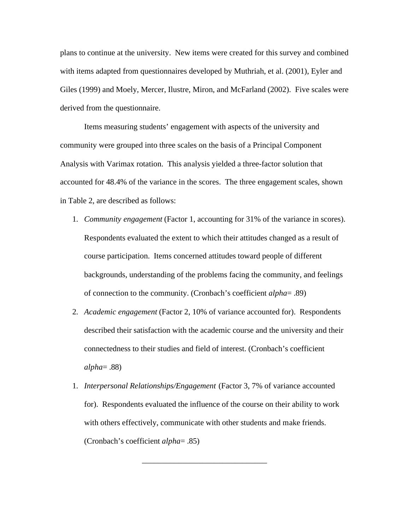plans to continue at the university. New items were created for this survey and combined with items adapted from questionnaires developed by Muthriah, et al. (2001), Eyler and Giles (1999) and Moely, Mercer, Ilustre, Miron, and McFarland (2002). Five scales were derived from the questionnaire.

Items measuring students' engagement with aspects of the university and community were grouped into three scales on the basis of a Principal Component Analysis with Varimax rotation. This analysis yielded a three-factor solution that accounted for 48.4% of the variance in the scores. The three engagement scales, shown in Table 2, are described as follows:

- 1. *Community engagement* (Factor 1, accounting for 31% of the variance in scores). Respondents evaluated the extent to which their attitudes changed as a result of course participation. Items concerned attitudes toward people of different backgrounds, understanding of the problems facing the community, and feelings of connection to the community. (Cronbach's coefficient *alpha*= .89)
- 2. *Academic engagement* (Factor 2, 10% of variance accounted for). Respondents described their satisfaction with the academic course and the university and their connectedness to their studies and field of interest. (Cronbach's coefficient *alpha*= .88)
- 1. *Interpersonal Relationships/Engagement* (Factor 3, 7% of variance accounted for). Respondents evaluated the influence of the course on their ability to work with others effectively, communicate with other students and make friends. (Cronbach's coefficient *alpha*= .85)

\_\_\_\_\_\_\_\_\_\_\_\_\_\_\_\_\_\_\_\_\_\_\_\_\_\_\_\_\_\_\_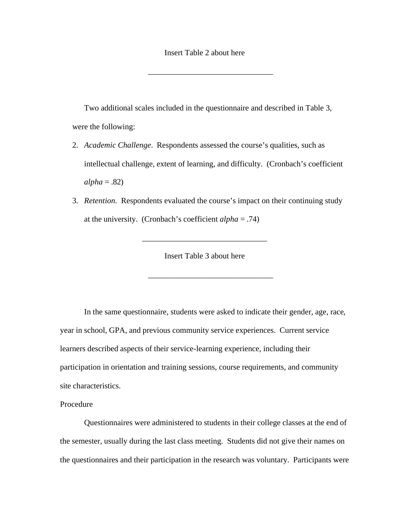#### Insert Table 2 about here

\_\_\_\_\_\_\_\_\_\_\_\_\_\_\_\_\_\_\_\_\_\_\_\_\_\_\_\_\_\_\_

Two additional scales included in the questionnaire and described in Table 3, were the following:

- 2. *Academic Challenge*. Respondents assessed the course's qualities, such as intellectual challenge, extent of learning, and difficulty. (Cronbach's coefficient  $alpha = .82$ )
- 3. *Retention.* Respondents evaluated the course's impact on their continuing study at the university. (Cronbach's coefficient *alpha* = .74)

Insert Table 3 about here

\_\_\_\_\_\_\_\_\_\_\_\_\_\_\_\_\_\_\_\_\_\_\_\_\_\_\_\_\_\_\_

\_\_\_\_\_\_\_\_\_\_\_\_\_\_\_\_\_\_\_\_\_\_\_\_\_\_\_\_\_\_\_

In the same questionnaire, students were asked to indicate their gender, age, race, year in school, GPA, and previous community service experiences. Current service learners described aspects of their service-learning experience, including their participation in orientation and training sessions, course requirements, and community site characteristics.

Procedure

Questionnaires were administered to students in their college classes at the end of the semester, usually during the last class meeting. Students did not give their names on the questionnaires and their participation in the research was voluntary. Participants were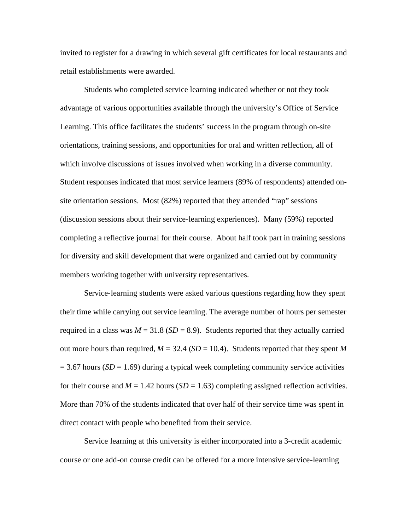invited to register for a drawing in which several gift certificates for local restaurants and retail establishments were awarded.

Students who completed service learning indicated whether or not they took advantage of various opportunities available through the university's Office of Service Learning. This office facilitates the students' success in the program through on-site orientations, training sessions, and opportunities for oral and written reflection, all of which involve discussions of issues involved when working in a diverse community. Student responses indicated that most service learners (89% of respondents) attended onsite orientation sessions. Most (82%) reported that they attended "rap" sessions (discussion sessions about their service-learning experiences). Many (59%) reported completing a reflective journal for their course. About half took part in training sessions for diversity and skill development that were organized and carried out by community members working together with university representatives.

Service-learning students were asked various questions regarding how they spent their time while carrying out service learning. The average number of hours per semester required in a class was  $M = 31.8$  ( $SD = 8.9$ ). Students reported that they actually carried out more hours than required,  $M = 32.4$  ( $SD = 10.4$ ). Students reported that they spent M = 3.67 hours (*SD* = 1.69) during a typical week completing community service activities for their course and  $M = 1.42$  hours (*SD* = 1.63) completing assigned reflection activities. More than 70% of the students indicated that over half of their service time was spent in direct contact with people who benefited from their service.

Service learning at this university is either incorporated into a 3-credit academic course or one add-on course credit can be offered for a more intensive service-learning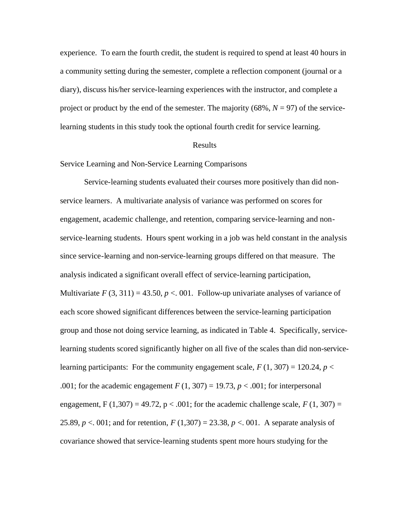experience. To earn the fourth credit, the student is required to spend at least 40 hours in a community setting during the semester, complete a reflection component (journal or a diary), discuss his/her service-learning experiences with the instructor, and complete a project or product by the end of the semester. The majority  $(68\%, N = 97)$  of the servicelearning students in this study took the optional fourth credit for service learning.

#### Results

Service Learning and Non-Service Learning Comparisons

Service-learning students evaluated their courses more positively than did nonservice learners. A multivariate analysis of variance was performed on scores for engagement, academic challenge, and retention, comparing service-learning and nonservice-learning students. Hours spent working in a job was held constant in the analysis since service-learning and non-service-learning groups differed on that measure. The analysis indicated a significant overall effect of service-learning participation, Multivariate  $F(3, 311) = 43.50, p < .001$ . Follow-up univariate analyses of variance of each score showed significant differences between the service-learning participation group and those not doing service learning, as indicated in Table 4. Specifically, servicelearning students scored significantly higher on all five of the scales than did non-servicelearning participants: For the community engagement scale,  $F(1, 307) = 120.24$ ,  $p <$ .001; for the academic engagement  $F(1, 307) = 19.73$ ,  $p < .001$ ; for interpersonal engagement, F  $(1,307) = 49.72$ , p < .001; for the academic challenge scale,  $F(1, 307) =$ 25.89,  $p < 0.01$ ; and for retention,  $F(1,307) = 23.38$ ,  $p < 0.01$ . A separate analysis of covariance showed that service-learning students spent more hours studying for the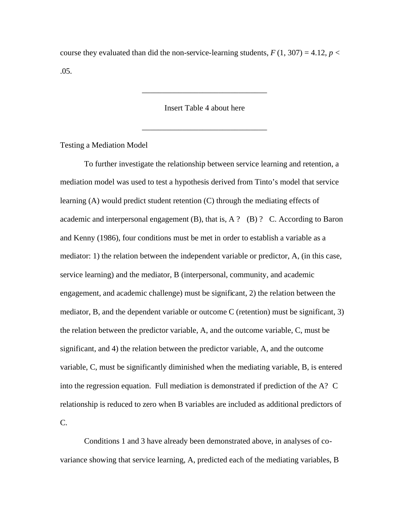course they evaluated than did the non-service-learning students,  $F(1, 307) = 4.12$ ,  $p <$ .05.

Insert Table 4 about here

\_\_\_\_\_\_\_\_\_\_\_\_\_\_\_\_\_\_\_\_\_\_\_\_\_\_\_\_\_\_\_

\_\_\_\_\_\_\_\_\_\_\_\_\_\_\_\_\_\_\_\_\_\_\_\_\_\_\_\_\_\_\_

Testing a Mediation Model

To further investigate the relationship between service learning and retention, a mediation model was used to test a hypothesis derived from Tinto's model that service learning (A) would predict student retention (C) through the mediating effects of academic and interpersonal engagement  $(B)$ , that is, A ?  $(B)$  ? C. According to Baron and Kenny (1986), four conditions must be met in order to establish a variable as a mediator: 1) the relation between the independent variable or predictor, A, (in this case, service learning) and the mediator, B (interpersonal, community, and academic engagement, and academic challenge) must be significant, 2) the relation between the mediator, B, and the dependent variable or outcome C (retention) must be significant, 3) the relation between the predictor variable, A, and the outcome variable, C, must be significant, and 4) the relation between the predictor variable, A, and the outcome variable, C, must be significantly diminished when the mediating variable, B, is entered into the regression equation. Full mediation is demonstrated if prediction of the A? C relationship is reduced to zero when B variables are included as additional predictors of C.

Conditions 1 and 3 have already been demonstrated above, in analyses of covariance showing that service learning, A, predicted each of the mediating variables, B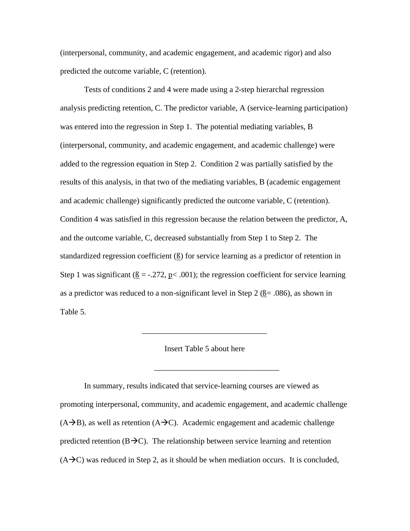(interpersonal, community, and academic engagement, and academic rigor) and also predicted the outcome variable, C (retention).

Tests of conditions 2 and 4 were made using a 2-step hierarchal regression analysis predicting retention, C. The predictor variable, A (service-learning participation) was entered into the regression in Step 1. The potential mediating variables, B (interpersonal, community, and academic engagement, and academic challenge) were added to the regression equation in Step 2. Condition 2 was partially satisfied by the results of this analysis, in that two of the mediating variables, B (academic engagement and academic challenge) significantly predicted the outcome variable, C (retention). Condition 4 was satisfied in this regression because the relation between the predictor, A, and the outcome variable, C, decreased substantially from Step 1 to Step 2. The standardized regression coefficient (ß) for service learning as a predictor of retention in Step 1 was significant ( $\beta = -0.272$ , p< .001); the regression coefficient for service learning as a predictor was reduced to a non-significant level in Step 2 ( $\beta$  = .086), as shown in Table 5.

#### Insert Table 5 about here

\_\_\_\_\_\_\_\_\_\_\_\_\_\_\_\_\_\_\_\_\_\_\_\_\_\_\_\_\_\_\_

\_\_\_\_\_\_\_\_\_\_\_\_\_\_\_\_\_\_\_\_\_\_\_\_\_\_\_\_\_\_\_

In summary, results indicated that service-learning courses are viewed as promoting interpersonal, community, and academic engagement, and academic challenge  $(A\rightarrow B)$ , as well as retention  $(A\rightarrow C)$ . Academic engagement and academic challenge predicted retention ( $B\rightarrow C$ ). The relationship between service learning and retention  $(A\rightarrow C)$  was reduced in Step 2, as it should be when mediation occurs. It is concluded,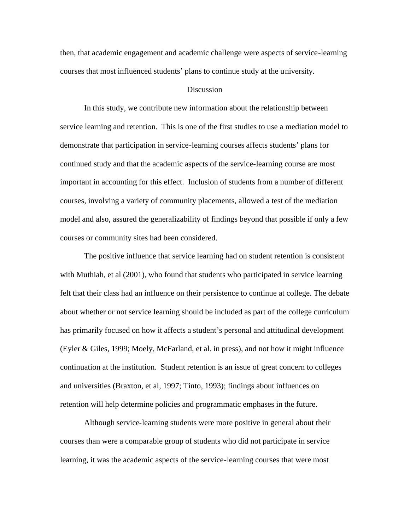then, that academic engagement and academic challenge were aspects of service-learning courses that most influenced students' plans to continue study at the university.

#### **Discussion**

In this study, we contribute new information about the relationship between service learning and retention. This is one of the first studies to use a mediation model to demonstrate that participation in service-learning courses affects students' plans for continued study and that the academic aspects of the service-learning course are most important in accounting for this effect. Inclusion of students from a number of different courses, involving a variety of community placements, allowed a test of the mediation model and also, assured the generalizability of findings beyond that possible if only a few courses or community sites had been considered.

The positive influence that service learning had on student retention is consistent with Muthiah, et al (2001), who found that students who participated in service learning felt that their class had an influence on their persistence to continue at college. The debate about whether or not service learning should be included as part of the college curriculum has primarily focused on how it affects a student's personal and attitudinal development (Eyler & Giles, 1999; Moely, McFarland, et al. in press), and not how it might influence continuation at the institution. Student retention is an issue of great concern to colleges and universities (Braxton, et al, 1997; Tinto, 1993); findings about influences on retention will help determine policies and programmatic emphases in the future.

Although service-learning students were more positive in general about their courses than were a comparable group of students who did not participate in service learning, it was the academic aspects of the service-learning courses that were most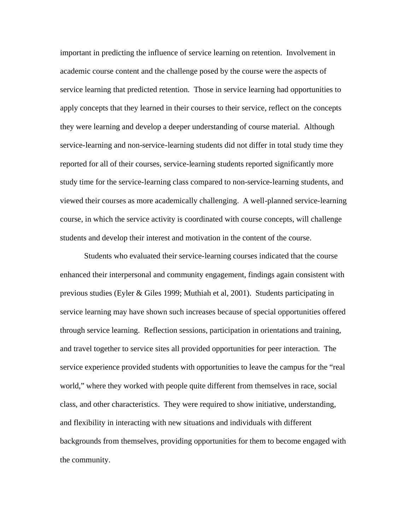important in predicting the influence of service learning on retention. Involvement in academic course content and the challenge posed by the course were the aspects of service learning that predicted retention. Those in service learning had opportunities to apply concepts that they learned in their courses to their service, reflect on the concepts they were learning and develop a deeper understanding of course material. Although service-learning and non-service-learning students did not differ in total study time they reported for all of their courses, service-learning students reported significantly more study time for the service-learning class compared to non-service-learning students, and viewed their courses as more academically challenging. A well-planned service-learning course, in which the service activity is coordinated with course concepts, will challenge students and develop their interest and motivation in the content of the course.

Students who evaluated their service-learning courses indicated that the course enhanced their interpersonal and community engagement, findings again consistent with previous studies (Eyler & Giles 1999; Muthiah et al, 2001). Students participating in service learning may have shown such increases because of special opportunities offered through service learning. Reflection sessions, participation in orientations and training, and travel together to service sites all provided opportunities for peer interaction. The service experience provided students with opportunities to leave the campus for the "real world," where they worked with people quite different from themselves in race, social class, and other characteristics. They were required to show initiative, understanding, and flexibility in interacting with new situations and individuals with different backgrounds from themselves, providing opportunities for them to become engaged with the community.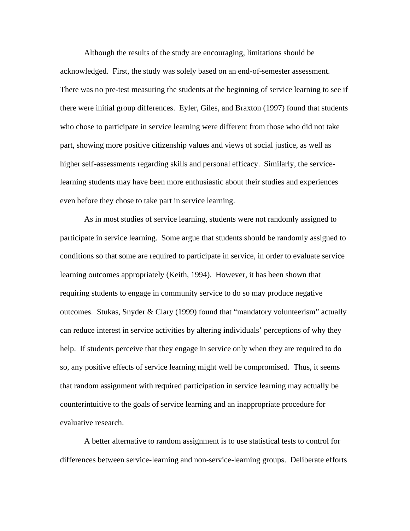Although the results of the study are encouraging, limitations should be acknowledged. First, the study was solely based on an end-of-semester assessment. There was no pre-test measuring the students at the beginning of service learning to see if there were initial group differences. Eyler, Giles, and Braxton (1997) found that students who chose to participate in service learning were different from those who did not take part, showing more positive citizenship values and views of social justice, as well as higher self-assessments regarding skills and personal efficacy. Similarly, the servicelearning students may have been more enthusiastic about their studies and experiences even before they chose to take part in service learning.

As in most studies of service learning, students were not randomly assigned to participate in service learning. Some argue that students should be randomly assigned to conditions so that some are required to participate in service, in order to evaluate service learning outcomes appropriately (Keith, 1994). However, it has been shown that requiring students to engage in community service to do so may produce negative outcomes. Stukas, Snyder & Clary (1999) found that "mandatory volunteerism" actually can reduce interest in service activities by altering individuals' perceptions of why they help. If students perceive that they engage in service only when they are required to do so, any positive effects of service learning might well be compromised. Thus, it seems that random assignment with required participation in service learning may actually be counterintuitive to the goals of service learning and an inappropriate procedure for evaluative research.

A better alternative to random assignment is to use statistical tests to control for differences between service-learning and non-service-learning groups. Deliberate efforts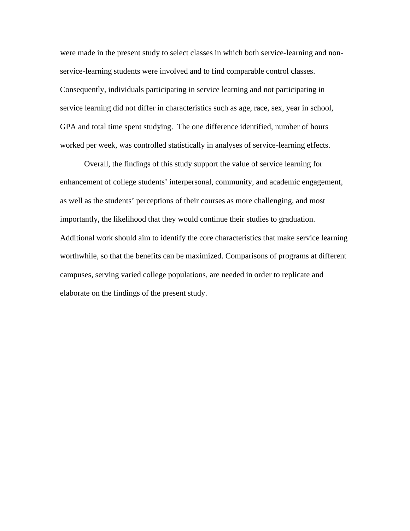were made in the present study to select classes in which both service-learning and nonservice-learning students were involved and to find comparable control classes. Consequently, individuals participating in service learning and not participating in service learning did not differ in characteristics such as age, race, sex, year in school, GPA and total time spent studying. The one difference identified, number of hours worked per week, was controlled statistically in analyses of service-learning effects.

Overall, the findings of this study support the value of service learning for enhancement of college students' interpersonal, community, and academic engagement, as well as the students' perceptions of their courses as more challenging, and most importantly, the likelihood that they would continue their studies to graduation. Additional work should aim to identify the core characteristics that make service learning worthwhile, so that the benefits can be maximized. Comparisons of programs at different campuses, serving varied college populations, are needed in order to replicate and elaborate on the findings of the present study.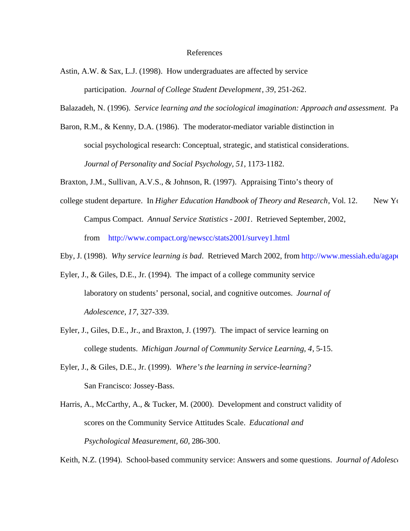#### References

- Astin, A.W. & Sax, L.J. (1998). How undergraduates are affected by service participation. *Journal of College Student Development*, *39*, 251-262.
- Balazadeh, N. (1996). *Service learning and the sociological imagination: Approach and assessment*. Pa
- Baron, R.M., & Kenny, D.A. (1986). The moderator-mediator variable distinction in social psychological research: Conceptual, strategic, and statistical considerations. *Journal of Personality and Social Psychology, 51*, 1173-1182.

Braxton, J.M., Sullivan, A.V.S., & Johnson, R. (1997). Appraising Tinto's theory of

- college student departure. In *Higher Education Handbook of Theory and Research*, Vol. 12. New Yo Campus Compact. *Annual Service Statistics - 2001*. Retrieved September, 2002, from http://www.compact.org/newscc/stats2001/survey1.html
- Eby, J. (1998). *Why service learning is bad*. Retrieved March 2002, from http://www.messiah.edu/agape/le
- Eyler, J., & Giles, D.E., Jr. (1994). The impact of a college community service laboratory on students' personal, social, and cognitive outcomes. *Journal of Adolescence*, *17*, 327-339.
- Eyler, J., Giles, D.E., Jr., and Braxton, J. (1997). The impact of service learning on college students. *Michigan Journal of Community Service Learning, 4*, 5-15.
- Eyler, J., & Giles, D.E., Jr. (1999). *Where's the learning in service-learning?*  San Francisco: Jossey-Bass.
- Harris, A., McCarthy, A., & Tucker, M. (2000). Development and construct validity of scores on the Community Service Attitudes Scale. *Educational and Psychological Measurement, 60*, 286-300.

Keith, N.Z. (1994). School-based community service: Answers and some questions. *Journal of Adolesce*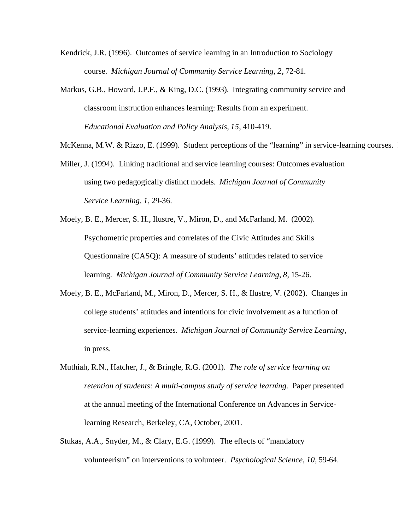- Kendrick, J.R. (1996). Outcomes of service learning in an Introduction to Sociology course. *Michigan Journal of Community Service Learning, 2*, 72-81.
- Markus, G.B., Howard, J.P.F., & King, D.C. (1993). Integrating community service and classroom instruction enhances learning: Results from an experiment. *Educational Evaluation and Policy Analysis, 15*, 410-419.

McKenna, M.W. & Rizzo, E. (1999). Student perceptions of the "learning" in service-learning courses.

- Miller, J. (1994). Linking traditional and service learning courses: Outcomes evaluation using two pedagogically distinct models. *Michigan Journal of Community Service Learning*, *1*, 29-36.
- Moely, B. E., Mercer, S. H., Ilustre, V., Miron, D., and McFarland, M. (2002). Psychometric properties and correlates of the Civic Attitudes and Skills Questionnaire (CASQ): A measure of students' attitudes related to service learning. *Michigan Journal of Community Service Learning*, *8*, 15-26.
- Moely, B. E., McFarland, M., Miron, D., Mercer, S. H., & Ilustre, V. (2002). Changes in college students' attitudes and intentions for civic involvement as a function of service-learning experiences. *Michigan Journal of Community Service Learning*, in press.
- Muthiah, R.N., Hatcher, J., & Bringle, R.G. (2001). *The role of service learning on retention of students: A multi-campus study of service learning. Paper presented* at the annual meeting of the International Conference on Advances in Servicelearning Research, Berkeley, CA, October, 2001.
- Stukas, A.A., Snyder, M., & Clary, E.G. (1999). The effects of "mandatory volunteerism" on interventions to volunteer. *Psychological Science*, *10*, 59-64.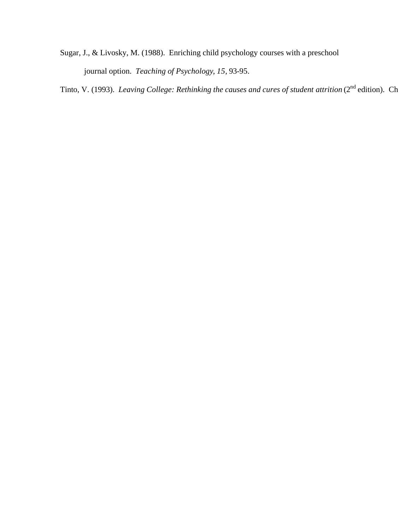Sugar, J., & Livosky, M. (1988). Enriching child psychology courses with a preschool journal option. *Teaching of Psychology*, *15*, 93-95.

Tinto, V. (1993). *Leaving College: Rethinking the causes and cures of student attrition* (2<sup>nd</sup> edition). Ch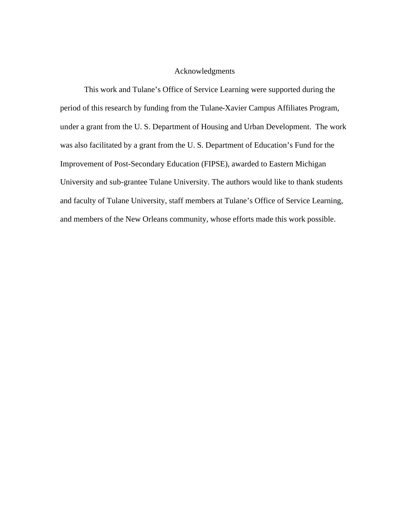### Acknowledgments

This work and Tulane's Office of Service Learning were supported during the period of this research by funding from the Tulane-Xavier Campus Affiliates Program, under a grant from the U. S. Department of Housing and Urban Development. The work was also facilitated by a grant from the U. S. Department of Education's Fund for the Improvement of Post-Secondary Education (FIPSE), awarded to Eastern Michigan University and sub-grantee Tulane University. The authors would like to thank students and faculty of Tulane University, staff members at Tulane's Office of Service Learning, and members of the New Orleans community, whose efforts made this work possible.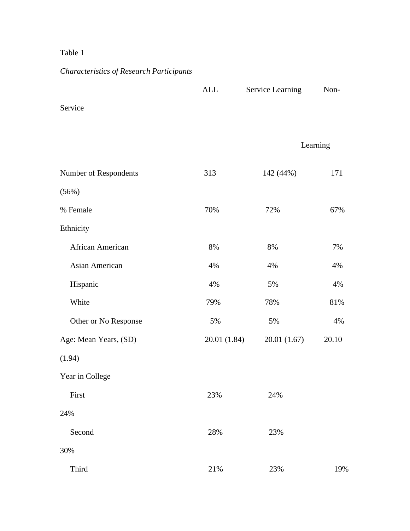## Table 1

## *Characteristics of Research Participants*

|                       | <b>ALL</b>   | <b>Service Learning</b> | Non-     |
|-----------------------|--------------|-------------------------|----------|
| Service               |              |                         |          |
|                       |              |                         | Learning |
| Number of Respondents | 313          | 142 (44%)               | 171      |
| (56%)                 |              |                         |          |
| % Female              | 70%          | 72%                     | 67%      |
| Ethnicity             |              |                         |          |
| African American      | 8%           | 8%                      | 7%       |
| <b>Asian American</b> | 4%           | 4%                      | 4%       |
| Hispanic              | 4%           | 5%                      | 4%       |
| White                 | 79%          | 78%                     | 81%      |
| Other or No Response  | 5%           | 5%                      | 4%       |
| Age: Mean Years, (SD) | 20.01 (1.84) | 20.01 (1.67)            | 20.10    |
| (1.94)                |              |                         |          |
| Year in College       |              |                         |          |
| First                 | 23%          | 24%                     |          |
| 24%                   |              |                         |          |
| Second                | 28%          | 23%                     |          |
| 30%                   |              |                         |          |
| Third                 | 21%          | 23%                     | 19%      |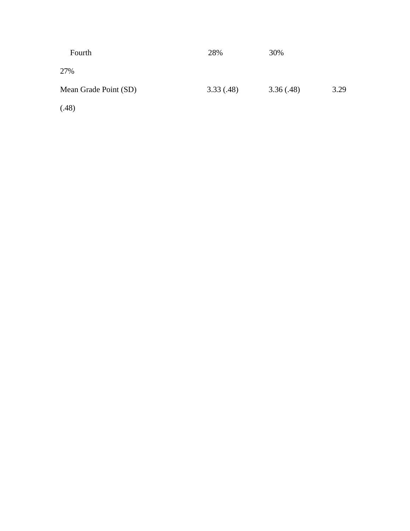| Fourth                | 28%       | 30%       |      |
|-----------------------|-----------|-----------|------|
| 27%                   |           |           |      |
| Mean Grade Point (SD) | 3.33(.48) | 3.36(.48) | 3.29 |
| (.48)                 |           |           |      |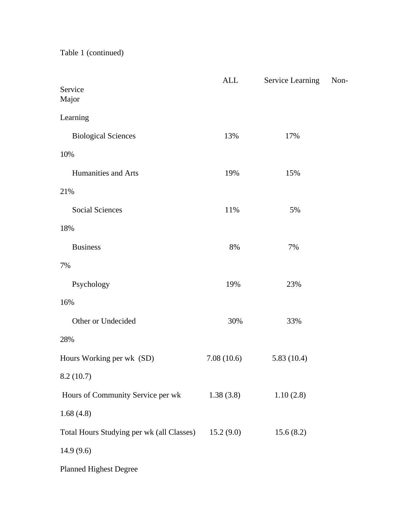Table 1 (continued)

|                                           | <b>ALL</b> | <b>Service Learning</b> | Non- |
|-------------------------------------------|------------|-------------------------|------|
| Service<br>Major                          |            |                         |      |
| Learning                                  |            |                         |      |
| <b>Biological Sciences</b>                | 13%        | 17%                     |      |
| 10%                                       |            |                         |      |
| Humanities and Arts                       | 19%        | 15%                     |      |
| 21%                                       |            |                         |      |
| <b>Social Sciences</b>                    | 11%        | 5%                      |      |
| 18%                                       |            |                         |      |
| <b>Business</b>                           | 8%         | 7%                      |      |
| 7%                                        |            |                         |      |
| Psychology                                | 19%        | 23%                     |      |
| 16%                                       |            |                         |      |
| Other or Undecided                        | 30%        | 33%                     |      |
| 28%                                       |            |                         |      |
| Hours Working per wk (SD)                 | 7.08(10.6) | 5.83(10.4)              |      |
| 8.2(10.7)                                 |            |                         |      |
| Hours of Community Service per wk         | 1.38(3.8)  | 1.10(2.8)               |      |
| 1.68(4.8)                                 |            |                         |      |
| Total Hours Studying per wk (all Classes) | 15.2(9.0)  | 15.6(8.2)               |      |
| 14.9(9.6)                                 |            |                         |      |
| <b>Planned Highest Degree</b>             |            |                         |      |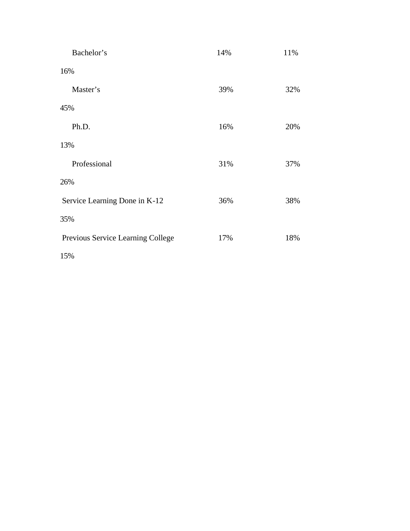| Bachelor's                        | 14% | 11% |
|-----------------------------------|-----|-----|
| 16%                               |     |     |
| Master's                          | 39% | 32% |
| 45%                               |     |     |
| Ph.D.                             | 16% | 20% |
| 13%                               |     |     |
| Professional                      | 31% | 37% |
| 26%                               |     |     |
| Service Learning Done in K-12     | 36% | 38% |
| 35%                               |     |     |
| Previous Service Learning College | 17% | 18% |
| 15%                               |     |     |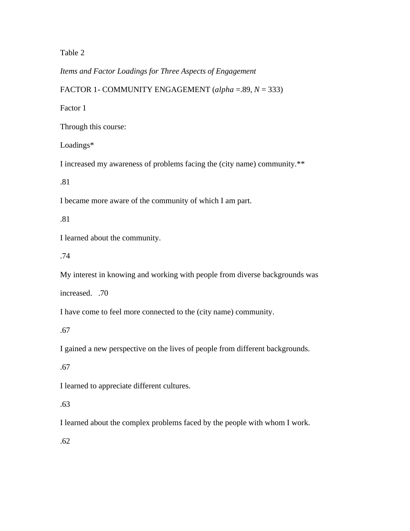Table 2

*Items and Factor Loadings for Three Aspects of Engagement*

FACTOR 1- COMMUNITY ENGAGEMENT (*alpha* =.89, *N* = 333)

Factor 1

Through this course:

Loadings\*

I increased my awareness of problems facing the (city name) community.\*\*

.81

I became more aware of the community of which I am part.

.81

I learned about the community.

.74

My interest in knowing and working with people from diverse backgrounds was

increased. .70

I have come to feel more connected to the (city name) community.

.67

I gained a new perspective on the lives of people from different backgrounds.

.67

I learned to appreciate different cultures.

.63

I learned about the complex problems faced by the people with whom I work.

.62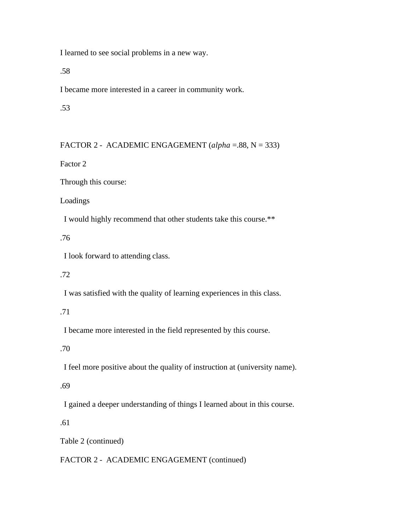I learned to see social problems in a new way.

.58

I became more interested in a career in community work.

.53

FACTOR 2 - ACADEMIC ENGAGEMENT (*alpha* =.88, N = 333)

Factor 2

Through this course:

Loadings

I would highly recommend that other students take this course.\*\*

.76

I look forward to attending class.

.72

I was satisfied with the quality of learning experiences in this class.

### .71

I became more interested in the field represented by this course.

.70

I feel more positive about the quality of instruction at (university name).

.69

I gained a deeper understanding of things I learned about in this course.

.61

Table 2 (continued)

FACTOR 2 - ACADEMIC ENGAGEMENT (continued)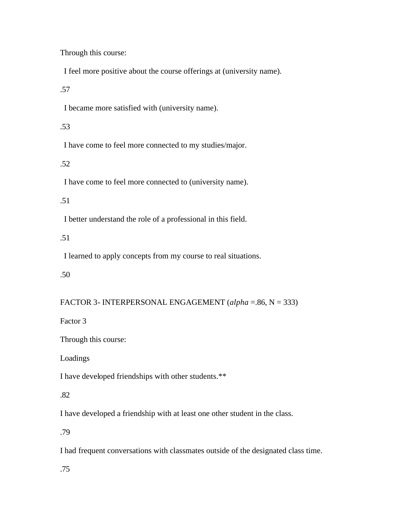Through this course:

I feel more positive about the course offerings at (university name).

.57

I became more satisfied with (university name).

.53

I have come to feel more connected to my studies/major.

.52

I have come to feel more connected to (university name).

.51

I better understand the role of a professional in this field.

.51

I learned to apply concepts from my course to real situations.

.50

FACTOR 3- INTERPERSONAL ENGAGEMENT (*alpha* =.86, N = 333)

Factor 3

Through this course:

Loadings

I have developed friendships with other students.\*\*

.82

I have developed a friendship with at least one other student in the class.

.79

I had frequent conversations with classmates outside of the designated class time.

.75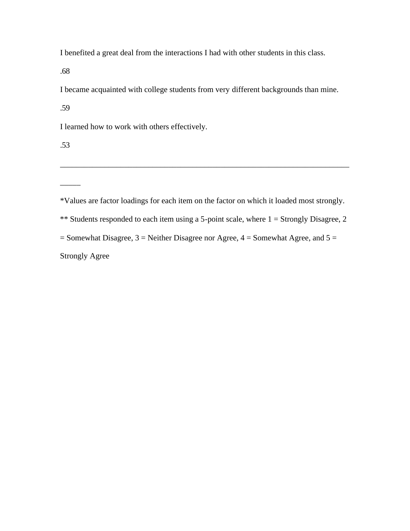I benefited a great deal from the interactions I had with other students in this class.

.68

I became acquainted with college students from very different backgrounds than mine.

.59

I learned how to work with others effectively.

.53

 $\overline{\phantom{a}}$ 

\*Values are factor loadings for each item on the factor on which it loaded most strongly.

\_\_\_\_\_\_\_\_\_\_\_\_\_\_\_\_\_\_\_\_\_\_\_\_\_\_\_\_\_\_\_\_\_\_\_\_\_\_\_\_\_\_\_\_\_\_\_\_\_\_\_\_\_\_\_\_\_\_\_\_\_\_\_\_\_\_\_\_\_\_\_\_

\*\* Students responded to each item using a 5-point scale, where  $1 =$  Strongly Disagree, 2

 $=$  Somewhat Disagree, 3  $=$  Neither Disagree nor Agree, 4  $=$  Somewhat Agree, and 5  $=$ 

Strongly Agree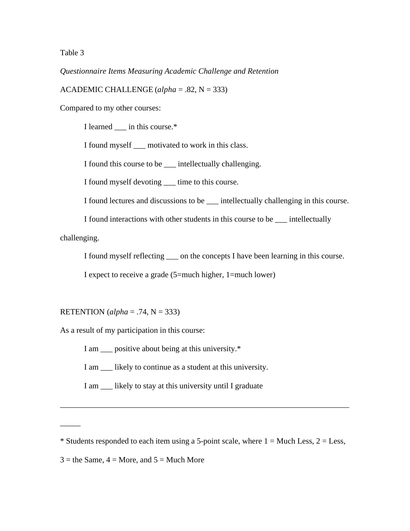Table 3

*Questionnaire Items Measuring Academic Challenge and Retention* 

ACADEMIC CHALLENGE (*alpha* = .82, N = 333)

Compared to my other courses:

I learned in this course.\*

I found myself \_\_\_ motivated to work in this class.

I found this course to be \_\_\_ intellectually challenging.

I found myself devoting \_\_\_ time to this course.

I found lectures and discussions to be \_\_\_ intellectually challenging in this course.

I found interactions with other students in this course to be \_\_\_ intellectually

challenging.

\_\_\_\_\_

I found myself reflecting \_\_\_ on the concepts I have been learning in this course.

I expect to receive a grade (5=much higher, 1=much lower)

RETENTION (*alpha* = .74, N = 333)

As a result of my participation in this course:

I am \_\_\_ positive about being at this university.\*

I am \_\_\_ likely to continue as a student at this university.

I am \_\_\_ likely to stay at this university until I graduate

\_\_\_\_\_\_\_\_\_\_\_\_\_\_\_\_\_\_\_\_\_\_\_\_\_\_\_\_\_\_\_\_\_\_\_\_\_\_\_\_\_\_\_\_\_\_\_\_\_\_\_\_\_\_\_\_\_\_\_\_\_\_\_\_\_\_\_\_\_\_\_\_

<sup>\*</sup> Students responded to each item using a 5-point scale, where  $1 =$  Much Less,  $2 =$  Less,

 $3 =$  the Same,  $4 =$  More, and  $5 =$  Much More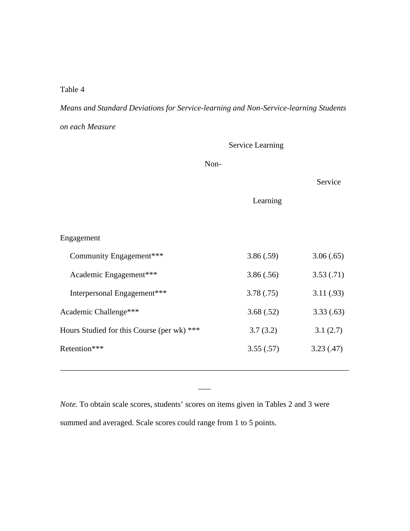### Table 4

*Means and Standard Deviations for Service-learning and Non-Service-learning Students on each Measure*

|                                            |      | <b>Service Learning</b> |           |
|--------------------------------------------|------|-------------------------|-----------|
|                                            | Non- |                         |           |
|                                            |      |                         | Service   |
|                                            |      | Learning                |           |
|                                            |      |                         |           |
| Engagement                                 |      |                         |           |
| Community Engagement***                    |      | 3.86(.59)               | 3.06(.65) |
| Academic Engagement***                     |      | 3.86(.56)               | 3.53(.71) |
| Interpersonal Engagement***                |      | 3.78(.75)               | 3.11(.93) |
| Academic Challenge***                      |      | 3.68(.52)               | 3.33(.63) |
| Hours Studied for this Course (per wk) *** |      | 3.7(3.2)                | 3.1(2.7)  |
| Retention***                               |      | 3.55(.57)               | 3.23(.47) |
|                                            |      |                         |           |

*Note*. To obtain scale scores, students' scores on items given in Tables 2 and 3 were summed and averaged. Scale scores could range from 1 to 5 points.

 $\overline{\phantom{a}}$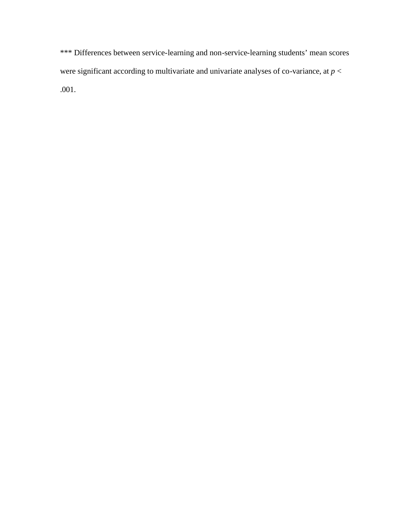\*\*\* Differences between service-learning and non-service-learning students' mean scores were significant according to multivariate and univariate analyses of co-variance, at *p* < .001.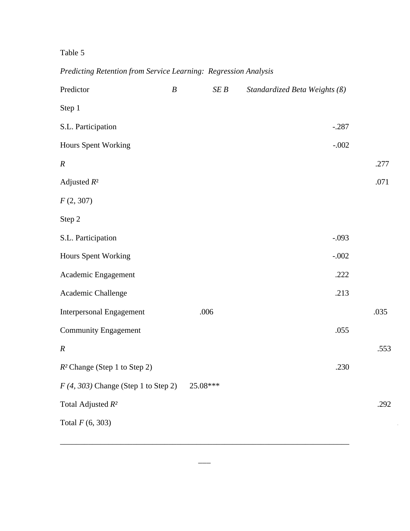## Table 5

## *Predicting Retention from Service Learning: Regression Analysis*

| Predictor                             | $\boldsymbol{B}$ | SEB      | Standardized Beta Weights $(\beta)$ |      |
|---------------------------------------|------------------|----------|-------------------------------------|------|
| Step 1                                |                  |          |                                     |      |
| S.L. Participation                    |                  |          | $-.287$                             |      |
| <b>Hours Spent Working</b>            |                  |          | $-.002$                             |      |
| $\boldsymbol{R}$                      |                  |          |                                     | .277 |
| Adjusted $R^2$                        |                  |          |                                     | .071 |
| F(2, 307)                             |                  |          |                                     |      |
| Step 2                                |                  |          |                                     |      |
| S.L. Participation                    |                  |          | $-.093$                             |      |
| <b>Hours Spent Working</b>            |                  |          | $-.002$                             |      |
| Academic Engagement                   |                  |          | .222                                |      |
| Academic Challenge                    |                  |          | .213                                |      |
| <b>Interpersonal Engagement</b>       |                  | .006     |                                     | .035 |
| <b>Community Engagement</b>           |                  |          | .055                                |      |
| $\boldsymbol{R}$                      |                  |          |                                     | .553 |
| $R^2$ Change (Step 1 to Step 2)       |                  |          | .230                                |      |
| $F(4, 303)$ Change (Step 1 to Step 2) |                  | 25.08*** |                                     |      |
| Total Adjusted $R^2$                  |                  |          |                                     | .292 |
| Total $F(6, 303)$                     |                  |          |                                     |      |
|                                       |                  |          |                                     |      |

\_\_\_\_\_\_\_\_\_\_\_\_\_\_\_\_\_\_\_\_\_\_\_\_\_\_\_\_\_\_\_\_\_\_\_\_\_\_\_\_\_\_\_\_\_\_\_\_\_\_\_\_\_\_\_\_\_\_\_\_\_\_\_\_\_\_\_\_\_\_\_\_

 $\overline{\phantom{a}}$